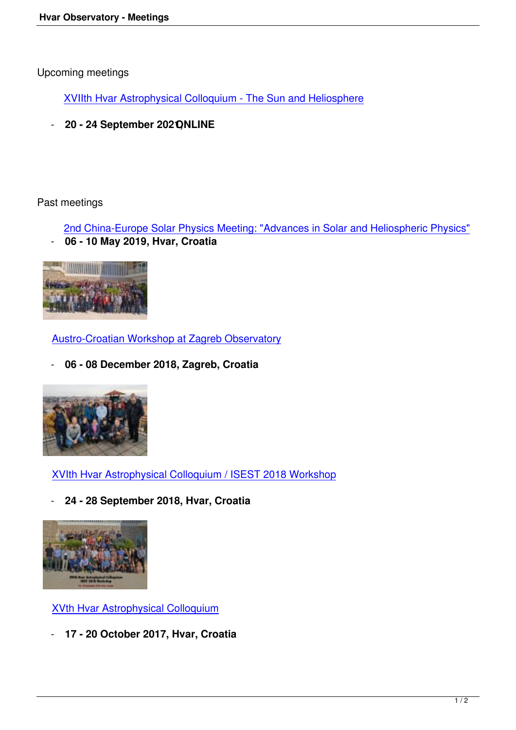XVIIth Hvar Astrophysical Colloquium - The Sun and Heliosphere

- 20 - 24 September 202 **QNLINE** 

Past meetings

 2nd China-Europe Solar Physics Meeting: "Advances in Solar and Heliospheric Physics" - **06 - 10 May 2019, Hvar, Croatia**



Austro-Croatian Workshop at Zagreb Observatory

- **06 - 08 December 2018, Zagreb, Croatia**



XVIth Hvar Astrophysical Colloquium / ISEST 2018 Workshop

- **24 - 28 September 2018, Hvar, Croatia**



XVth Hvar Astrophysical Colloquium

- **17 - 20 October 2017, Hvar, Croatia**